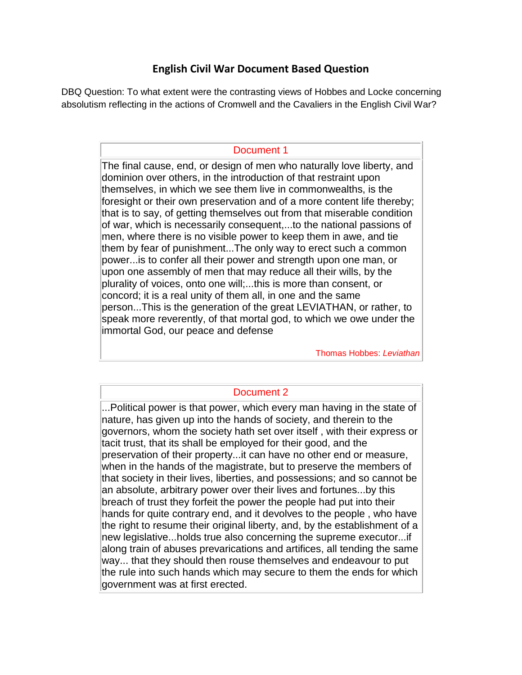# **English Civil War Document Based Question**

DBQ Question: To what extent were the contrasting views of Hobbes and Locke concerning absolutism reflecting in the actions of Cromwell and the Cavaliers in the English Civil War?

### Document 1

The final cause, end, or design of men who naturally love liberty, and dominion over others, in the introduction of that restraint upon themselves, in which we see them live in commonwealths, is the foresight or their own preservation and of a more content life thereby; that is to say, of getting themselves out from that miserable condition of war, which is necessarily consequent,...to the national passions of men, where there is no visible power to keep them in awe, and tie them by fear of punishment...The only way to erect such a common power...is to confer all their power and strength upon one man, or upon one assembly of men that may reduce all their wills, by the plurality of voices, onto one will;...this is more than consent, or concord; it is a real unity of them all, in one and the same person...This is the generation of the great LEVIATHAN, or rather, to speak more reverently, of that mortal god, to which we owe under the immortal God, our peace and defense

Thomas Hobbes: *Leviathan*

# Document 2

...Political power is that power, which every man having in the state of nature, has given up into the hands of society, and therein to the governors, whom the society hath set over itself , with their express or tacit trust, that its shall be employed for their good, and the preservation of their property...it can have no other end or measure, when in the hands of the magistrate, but to preserve the members of that society in their lives, liberties, and possessions; and so cannot be an absolute, arbitrary power over their lives and fortunes...by this breach of trust they forfeit the power the people had put into their hands for quite contrary end, and it devolves to the people , who have the right to resume their original liberty, and, by the establishment of a new legislative...holds true also concerning the supreme executor...if along train of abuses prevarications and artifices, all tending the same way... that they should then rouse themselves and endeavour to put the rule into such hands which may secure to them the ends for which government was at first erected.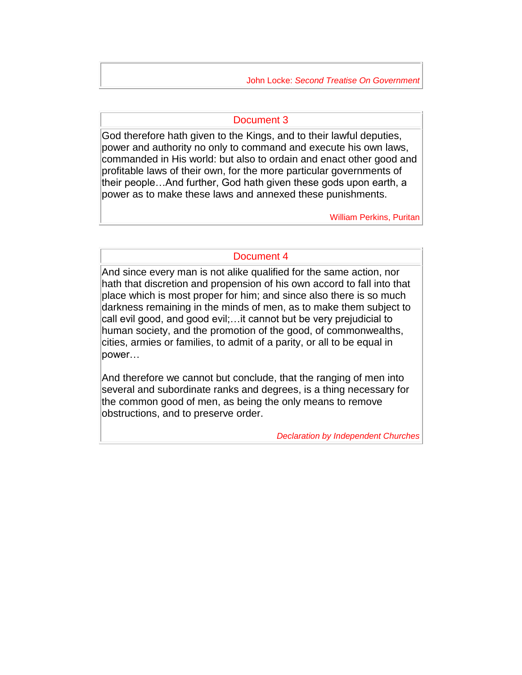John Locke: *Second Treatise On Government*

#### Document 3

God therefore hath given to the Kings, and to their lawful deputies, power and authority no only to command and execute his own laws, commanded in His world: but also to ordain and enact other good and profitable laws of their own, for the more particular governments of their people…And further, God hath given these gods upon earth, a power as to make these laws and annexed these punishments.

William Perkins, Puritan

### Document 4

And since every man is not alike qualified for the same action, nor hath that discretion and propension of his own accord to fall into that place which is most proper for him; and since also there is so much darkness remaining in the minds of men, as to make them subject to call evil good, and good evil;…it cannot but be very prejudicial to human society, and the promotion of the good, of commonwealths, cities, armies or families, to admit of a parity, or all to be equal in power…

And therefore we cannot but conclude, that the ranging of men into several and subordinate ranks and degrees, is a thing necessary for the common good of men, as being the only means to remove obstructions, and to preserve order.

*Declaration by Independent Churches*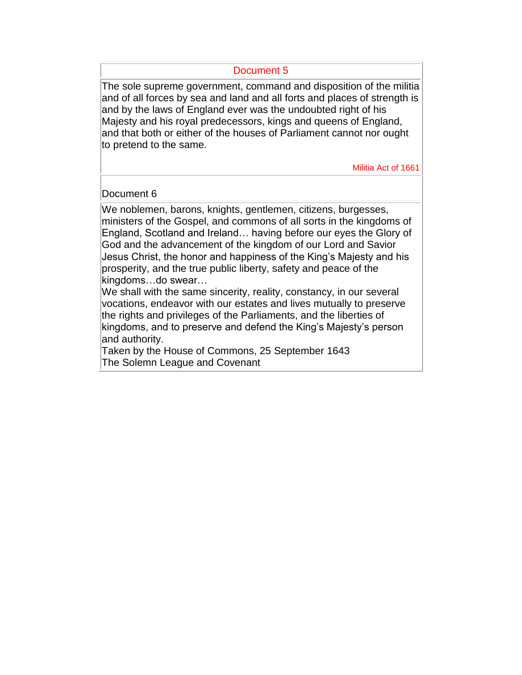#### Document 5

The sole supreme government, command and disposition of the militia and of all forces by sea and land and all forts and places of strength is and by the laws of England ever was the undoubted right of his Majesty and his royal predecessors, kings and queens of England, and that both or either of the houses of Parliament cannot nor ought to pretend to the same.

Militia Act of 1661

### Document 6

We noblemen, barons, knights, gentlemen, citizens, burgesses, ministers of the Gospel, and commons of all sorts in the kingdoms of England, Scotland and Ireland… having before our eyes the Glory of God and the advancement of the kingdom of our Lord and Savior Jesus Christ, the honor and happiness of the King's Majesty and his prosperity, and the true public liberty, safety and peace of the kingdoms…do swear…

We shall with the same sincerity, reality, constancy, in our several vocations, endeavor with our estates and lives mutually to preserve the rights and privileges of the Parliaments, and the liberties of kingdoms, and to preserve and defend the King's Majesty's person and authority.

Taken by the House of Commons, 25 September 1643 The Solemn League and Covenant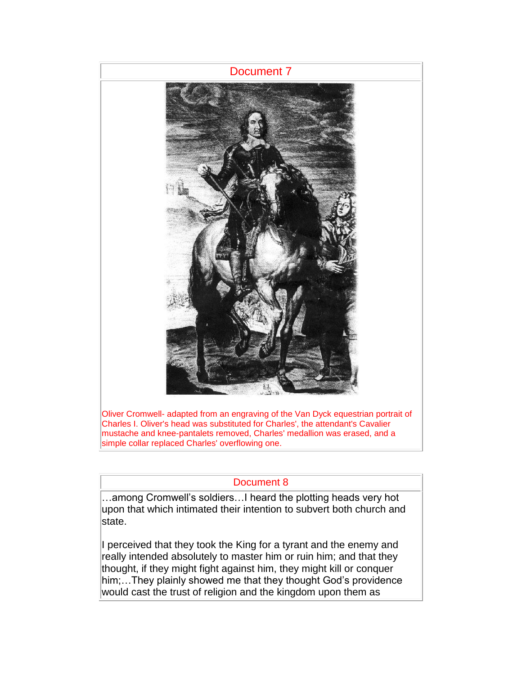

Oliver Cromwell- adapted from an engraving of the Van Dyck equestrian portrait of Charles I. Oliver's head was substituted for Charles', the attendant's Cavalier mustache and knee-pantalets removed, Charles' medallion was erased, and a simple collar replaced Charles' overflowing one.

# Document 8

…among Cromwell's soldiers…I heard the plotting heads very hot upon that which intimated their intention to subvert both church and state.

I perceived that they took the King for a tyrant and the enemy and really intended absolutely to master him or ruin him; and that they thought, if they might fight against him, they might kill or conquer him;…They plainly showed me that they thought God's providence would cast the trust of religion and the kingdom upon them as